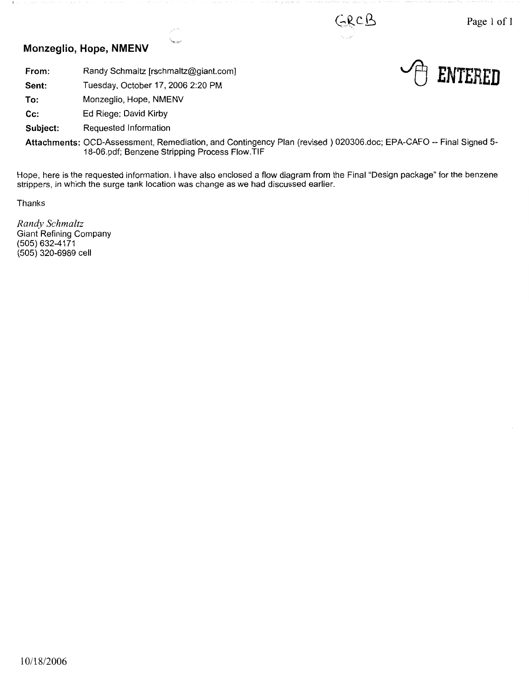GRCB

# **Monzeglio, Hope, NMENV**

| From: |  | Randy Schmaltz [rschmaltz@giant.com] |
|-------|--|--------------------------------------|
|-------|--|--------------------------------------|

**ANGERY** 

**Sent:**  Tuesday, October 17, 2006 2:20 PM

**To:**  Monzeglio, Hope, NMENV

**Cc:**  Ed Riege; David Kirby

**Subject:** Requested Information

**Attachments:** OCD-Assessment, Remediation, and Contingency Plan (revised ) 020306.doc; EPA-CAFO -- Final Signed 5- 18-06.pdf; Benzene Stripping Process Flow.TIF

Hope, here is the requested information. I have also enclosed a flow diagram from the Final "Design package" for the benzene strippers, in which the surge tank location was change as we had discussed earlier.

Thanks

*Randy Schmaltz*  Giant Refining Company (505) 632-4171 (505) 320-6989 cell

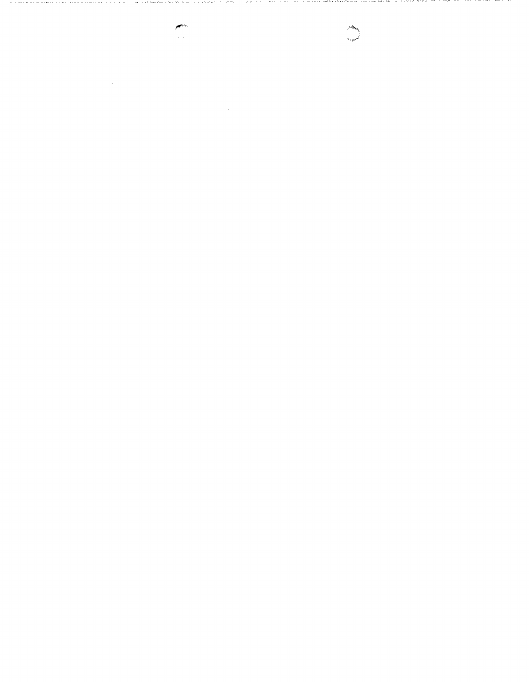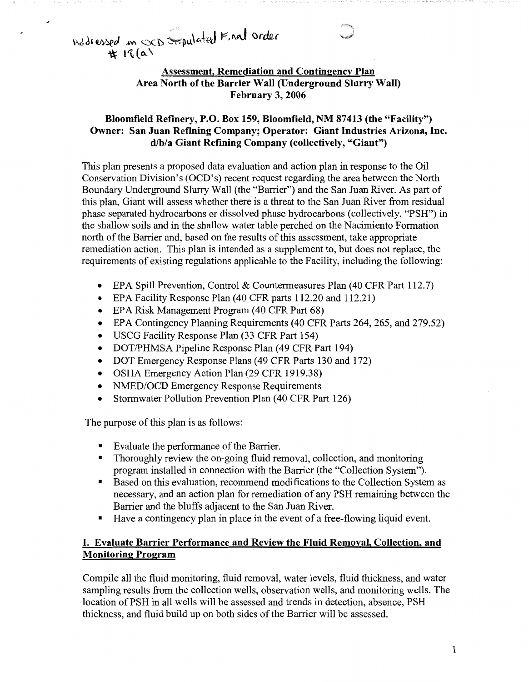nadressed in SCD Stripulated Franc Order  $# 18(a)$ 

> **Assessment, Remediation and Contingency Plan Area North of the Barrier Wall (Underground Slurry Wall) February 3, 2006**

# **Bloomfield Refinery, P.O. Box 159, Bloomfield, NM 87413 (the "Facility") Owner: San Juan Refining Company; Operator: Giant Industries Arizona, Inc. d/b/a Giant Refining Company (collectively, "Giant")**

This plan presents a proposed data evaluation and action plan in response to the Oil Conservation Division's (OCD's) recent request regarding the area between the North Boundary Underground Slurry Wall (the "Barrier") and the San Juan River. As part of this plan, Giant will assess whether there is a threat to the San Juan River from residual phase separated hydrocarbons or dissolved phase hydrocarbons ( collectively, "PSH") in the shallow soils and in the shallow water table perched on the Nacimiento Formation north of the Barrier and, based on the results of this assessment, take appropriate remediation action. This plan is intended as a supplement to, but does not replace, the requirements of existing regulations applicable to the Facility, including the following:

- EPA Spill Prevention, Control & Countermeasures Plan (40 CFR Part 112.7)
- EPA Facility Response Plan (40 CFR parts 112.20 and 112.21)
- EPA Risk Management Program (40 CFR Part 68)
- EPA Contingency Planning Requirements (40 CFR Parts 264, 265, and 279.52)
- USCG Facility Response Plan (33 CFR Part 154)
- DOT/PHMSA Pipeline Response Plan (49 CFR Part 194)
- DOT Emergency Response Plans (49 CFR Parts 130 and 172)
- OSHA Emergency Action Plan (29 CFR 1919.38)
- NMED/OCD Emergency Response Requirements
- Stormwater Pollution Prevention Plan (40 CFR Part 126)

The purpose of this plan is as follows:

- Evaluate the performance of the Barrier.
- Thoroughly review the on-going fluid removal, collection, and monitoring program installed in connection with the Barrier (the "Collection System").
- Based on this evaluation, recommend modifications to the Collection System as necessary, and an action plan for remediation of any PSH remaining between the Barrier and the bluffs adjacent to the San Juan River.
- Have a contingency plan in place in the event of a free-flowing liquid event.

# **I. Evaluate Barrier Performance and Review the Fluid Removal, Collection, and Monitoring Program**

Compile all the fluid monitoring, fluid removal, water levels, fluid thickness, and water sampling results from the collection wells, observation wells, and monitoring wells. The location of PSH in all wells will be assessed and trends in detection, absence, PSH thickness, and fluid build up on both sides of the Barrier will be assessed.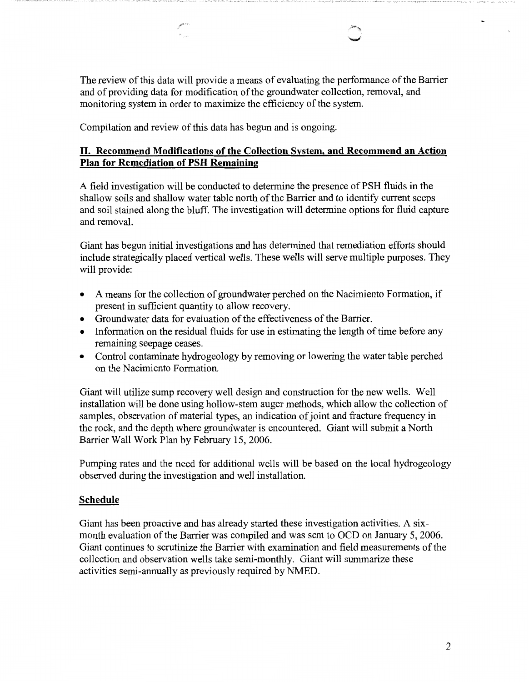The review of this data will provide a means of evaluating the performance of the Barrier and of providing data for modification of the groundwater collection, removal, and monitoring system in order to maximize the efficiency of the system.

Compilation and review of this data has begun and is ongoing.

# **II. Recommend Modifications of the Collection System, and Recommend an Action Plan for Remediation of PSH Remaining**

A field investigation will be conducted to determine the presence of PSH fluids in the shallow soils and shallow water table north of the Barrier and to identify current seeps and soil stained along the bluff. The investigation will determine options for fluid capture and removal.

Giant has begun initial investigations and has determined that remediation efforts should include strategically placed vertical wells. These wells will serve multiple purposes. They will provide:

- A means for the collection of groundwater perched on the Nacimiento Formation, if present in sufficient quantity to allow recovery.
- Groundwater data for evaluation of the effectiveness of the Barrier.
- Information on the residual fluids for use in estimating the length of time before any remaining seepage ceases.
- Control contaminate hydrogeology by removing or lowering the water table perched on the Nacimiento Formation.

Giant will utilize sump recovery well design and construction for the new wells. Well installation will be done using hollow-stem auger methods, which allow the collection of samples, observation of material types, an indication of joint and fracture frequency in the rock, and the depth where groundwater is encountered. Giant will submit a North Barrier Wall Work Plan by February 15, 2006.

Pumping rates and the need for additional wells will be based on the local hydrogeology observed during the investigation and well installation.

# **Schedule**

Giant has been proactive and has already started these investigation activities. A sixmonth evaluation of the Barrier was compiled and was sent to OCD on January 5, 2006. Giant continues to scrutinize the Barrier with examination and field measurements of the collection and observation wells take semi-monthly. Giant will summarize these activities semi-annually as previously required by NMED.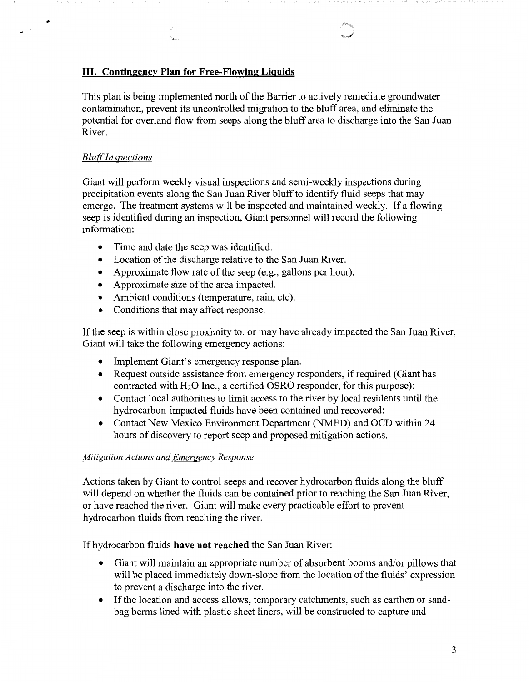# III. **Contingency Plan for Free-Flowing Liquids**

This plan is being implemented north of the Barrier to actively remediate groundwater contamination, prevent its uncontrolled migration to the bluff area, and eliminate the potential for overland flow from seeps along the bluff area to discharge into the San Juan River.

# *Bluff Inspections*

Giant will perform weekly visual inspections and semi-weekly inspections during precipitation events along the San Juan River bluff to identify fluid seeps that may emerge. The treatment systems will be inspected and maintained weekly. If a flowing seep is identified during an inspection, Giant personnel will record the following information:

- Time and date the seep was identified.
- Location of the discharge relative to the San Juan River.
- Approximate flow rate of the seep (e.g., gallons per hour).
- Approximate size of the area impacted.
- Ambient conditions (temperature, rain, etc).
- Conditions that may affect response.

If the seep is within close proximity to, or may have already impacted the San Juan River, Giant will take the following emergency actions:

- Implement Giant's emergency response plan.
- Request outside assistance from emergency responders, if required (Giant has contracted with  $H_2O$  Inc., a certified OSRO responder, for this purpose);
- Contact local authorities to limit access to the river by local residents until the hydrocarbon-impacted fluids have been contained and recovered;
- Contact New Mexico Environment Department (NMED) and OCD within 24 hours of discovery to report seep and proposed mitigation actions.

### *Mitigation Actions and Emergency Response*

Actions taken by Giant to control seeps and recover hydrocarbon fluids along the bluff will depend on whether the fluids can be contained prior to reaching the San Juan River, or have reached the river. Giant will make every practicable effort to prevent hydrocarbon fluids from reaching the river.

If hydrocarbon fluids **have not reached** the San Juan River:

- Giant will maintain an appropriate number of absorbent booms and/or pillows that will be placed immediately down-slope from the location of the fluids' expression to prevent a discharge into the river.
- If the location and access allows, temporary catchments, such as earthen or sandbag berms lined with plastic sheet liners, will be constructed to capture and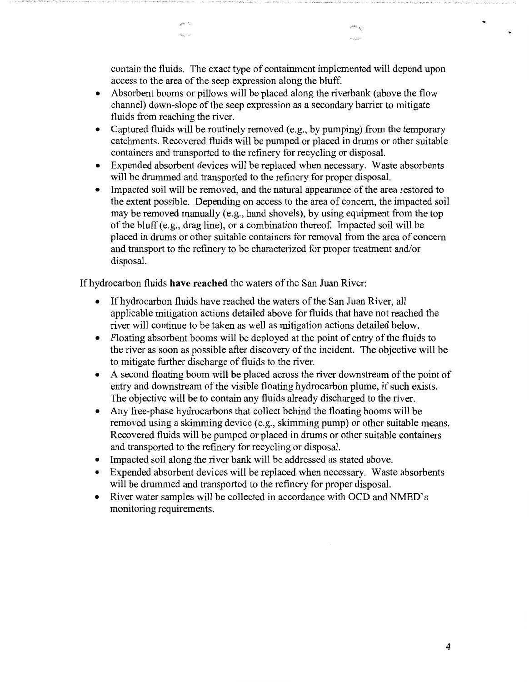contain the fluids. The exact type of containment implemented will depend upon access to the area of the seep expression along the bluff.

الهيب م

- Absorbent booms or pillows will be placed along the riverbank (above the flow channel) down-slope of the seep expression as a secondary barrier to mitigate fluids from reaching the river.
- Captured fluids will be routinely removed (e.g., by pumping) from the temporary catchments. Recovered fluids will be pumped or placed in drums or other suitable containers and transported to the refinery for recycling or disposal.
- Expended absorbent devices will be replaced when necessary. Waste absorbents will be drummed and transported to the refinery for proper disposal.
- Impacted soil will be removed, and the natural appearance of the area restored to the extent possible. Depending on access to the area of concern, the impacted soil may be removed manually (e.g., hand shovels), by using equipment from the top of the bluff ( e.g., drag line), or a combination thereof. Impacted soil will be placed in drums or other suitable containers for removal from the area of concern and transport to the refinery to be characterized for proper treatment and/or disposal.

If hydrocarbon fluids **have reached** the waters of the San Juan River:

- If hydrocarbon fluids have reached the waters of the San Juan River, all applicable mitigation actions detailed above for fluids that have not reached the river will continue to be taken as well as mitigation actions detailed below.
- Floating absorbent booms will be deployed at the point of entry of the fluids to the river as soon as possible after discovery of the incident. The objective will be to mitigate further discharge of fluids to the river.
- A second floating boom will be placed across the river downstream of the point of entry and downstream of the visible floating hydrocarbon plume, if such exists. The objective will be to contain any fluids already discharged to the river.
- Any free-phase hydrocarbons that collect behind the floating booms will be removed using a skimming device (e.g., skimming pump) or other suitable means. Recovered fluids will be pumped or placed in drums or other suitable containers and transported to the refinery for recycling or disposal.
- Impacted soil along the river bank will be addressed as stated above.
- Expended absorbent devices will be replaced when necessary. Waste absorbents will be drummed and transported to the refinery for proper disposal.
- River water samples will be collected in accordance with OCD and NMED's monitoring requirements.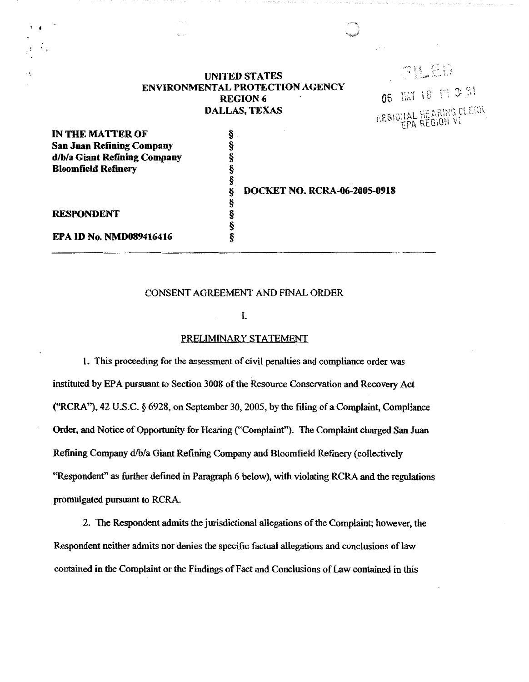## **UNITED STATES ENVIRONMENTAL PROTECTION AGENCY REGION6 DALLAS, TEXAS**

., ,.

Ò,

# TH ED 06 NAT 18 F1 3 31 RESIONAL HEARING CLERK

| IN THE MATTER OF                 |                                     |
|----------------------------------|-------------------------------------|
| <b>San Juan Refining Company</b> |                                     |
| d/b/a Giant Refining Company     |                                     |
| <b>Bloomfield Refinery</b>       |                                     |
|                                  |                                     |
|                                  | <b>DOCKET NO. RCRA-06-2005-0918</b> |
|                                  |                                     |
| <b>RESPONDENT</b>                |                                     |
|                                  |                                     |
| <b>EPA ID No. NMD089416416</b>   |                                     |

#### CONSENT AGREEMENT AND FINAL ORDER

#### L

#### PRELIMINARY STATEMENT

1. This proceeding for the assessment of civil penalties and compliance order was instituted by EPA pursuant to Section 3008 of the Resource Conservation and Recovery Act ("RCRA"), 42 U.S.C. § 6928, on September 30, 2005, by the filing of a Complaint, Compliance Order, and Notice of Opportunity for Hearing ("Complaint"). The Complaint charged San Juan Refining Company d/b/a Giant Refining Company and Bloomfield Refinery ( collectively "Respondent" as further defined in Paragraph 6 below), with violating RCRA and the regulations promulgated pursuant to RCRA.

2. The Respondent admits the jurisdictional allegations of the Complaint; however, the Respondent neither admits nor denies the specific factual allegations and conclusions of law contained in the Complaint or the Findings of Fact and Conclusions of Law contained in this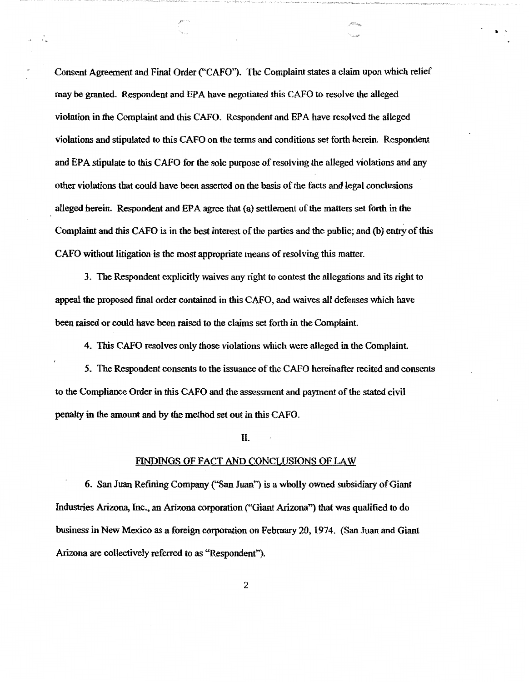Consent Agreement and Final Order ("CAFO"). The Complaint states a claim upon which relief may be granted. Respondent and EPA have negotiated this CAFO to resolve the alleged violation in the Complaint and this CAFO. Respondent and EPA have resolved the alleged violations and stipulated to this CAFO on the terms and conditions set forth herein. Respondent and EPA stipulate to this CAPO for the sole purpose of resolving the alleged violations and any other violations that could have been asserted on the basis of the facts and legal conclusions alleged herein. Respondent and EPA agree that (a) settlement of the matters set forth in the Complaint and this CAPO is in the best interest of the parties and the public; and (b) entry of this CAFO without litigation is the most appropriate means of resolving this matter.

. ,,

..

3. The Respondent explicitly waives any right to contest the allegations and its right to appeal the proposed final order contained in this CAFO, and waives all defenses which have been raised or could have been raised to the claims set forth in the Complaint.

4. This CAPO resolves only those violations which were alleged in the Complaint.

5. The Respondent consents to the issuance of the CAPO hereinafter recited and consents to the Compliance Order in this CAFO and the assessment and payment of the stated civil penalty in the amount and by the method set out in this CAFO.

#### II.

#### FINDINGS OF FACT AND CONCLUSIONS OF LAW

6. San Juan Refining Company ("San Juan") is a wholly owned subsidiary of Giant Industries Arizona, Inc., an Arizona corporation ("Giant Arizona") that was qualified to do business in New Mexico as a foreign corporation on February 20, 1974. (San Juan and Giant Arizona are collectively referred to as "Respondent").

2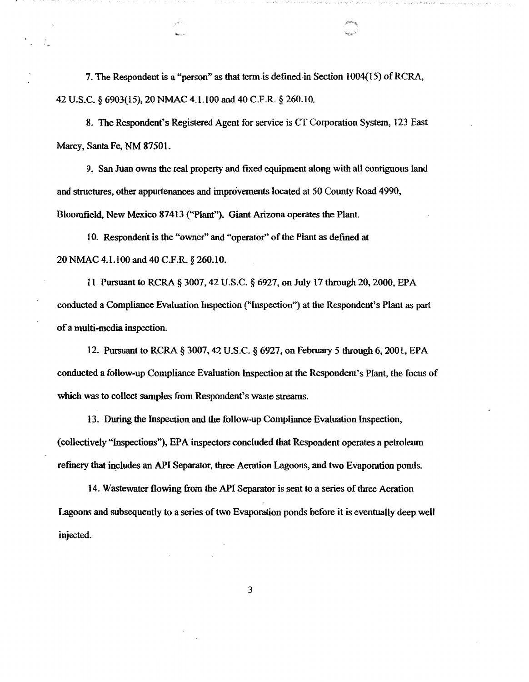7. The Respondent is a "person" as that term is defined-in Section 1004(15) of RCRA, 42 U.S.C. § 6903(15), 20 NMAC 4.1.100 and 40 C.F.R. § 260.10.

8. The Respondent's Registered Agent for service is CT Corporation System, 123 East Marcy, Santa Fe, NM 87501.

9. San Juan owns the real property and fixed equipment along with all contiguous land and structures, other appurtenances and improvements located at *50* County Road 4990, Bloomfield, New Mexico 87413 ("Plant"). Giant Arizona operates the Plant.

10. Respondent is the "owner" and "operator" of the Plant as defined at 20 NMAC 4.1.IO0 and 40 C.F.R. § 260.10.

11 Pursuant to RCRA § 3007, 42 U.S.C. § 6927, on July 17 through 20, 2000, EPA conducted a Compliance Evaluation Inspection ("Inspection") at the Respondent's Plant as part of a multi-media inspection.

12. Pursuant to RCRA § 3007, 42 U.S.C. § 6927, on February *5* through 6, 2001, EPA conducted a follow-up Compliance Evaluation Inspection at the Respondent's Plant, the focus of which was to collect samples from Respondent's waste streams.

13. During the Inspection and the follow-up Compliance Evaluation Inspection, ( collectively "Inspections"), EPA inspectors concluded that Respondent operates a petroleum refinery that includes an API Separator, three Aeration Lagoons, and two Evaporation ponds.

14. Wastewater flowing from the API Separator is sent to a series of three Aeration Lagoons and subsequently to a series of two Evaporation ponds before it is eventually deep well injected.

3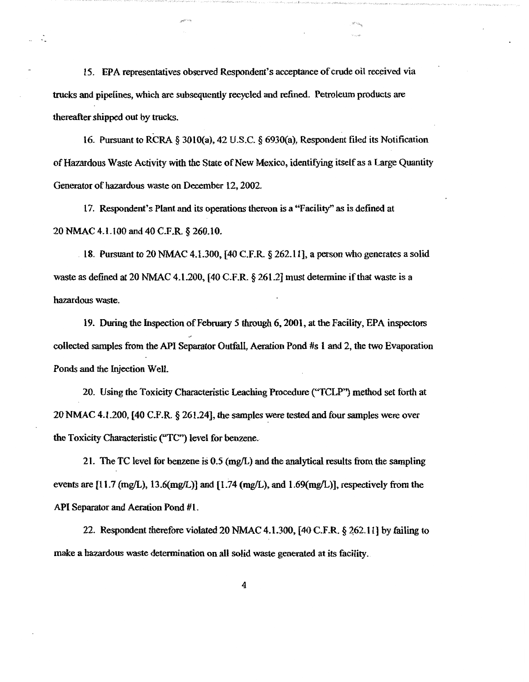15. EPA representatives observed Respondent's acceptance of crude oil received via trucks and pipelines, which are subsequently recycled and refined. Petroleum products are thereafter shipped out by trucks.

..

16. Pursuant to RCRA § 3010(a), 42 U.S.C. § 6930(a), Respondent filed its Notification of Hazardous Waste Activity with the State of New Mexico, identifying itself as a Large Quantity Generator of hazardous waste on December 12, 2002.

17. Respondent's Plant and its operations thereon is a "Facility" as is defined at 20 NMAC 4.1.100 and 40 C.F.R. § 260.10.

. 18. Pursuant to 20 NMAC 4.1.300,  $[40 \text{ C.F.R.} \, \delta \, 262.11]$ , a person who generates a solid waste as defined at 20 NMAC 4.1.200, [40 C.F.R. § 261.2] must determine if that waste is a hazardous waste.

19. During the Inspection of February *5* through 6, 2001, at the Facility, EPA inspectors collected samples from the API Separator Outfall, Aeration Pond #s l and 2, the two Evaporation Ponds and the Injection Well.

20. Using the Toxicity Characteristic Leaching Procedure ("TCLP") method set forth at 20 NMAC 4. l.200, [40 C.F.R. § 261.24], the samples were tested and four samples were over the Toxicity Characteristic ("TC') level for benzene.

2 l. The TC level for benzene is 0.5 (mg/L) and the analytical results from the sampling events are [l l.7 (mg/L), 13.6(mg/L)] and [1.74 (mg/L), and l.69(mg/L)], respectively from the API Separator and Aeration Pond #l.

22. Respondent therefore violated 20 NMAC 4.1.300,  $[40 \text{ C.F.R.} \S 262.11]$  by failing to make a hazardous waste determination on all solid waste generated at its facility.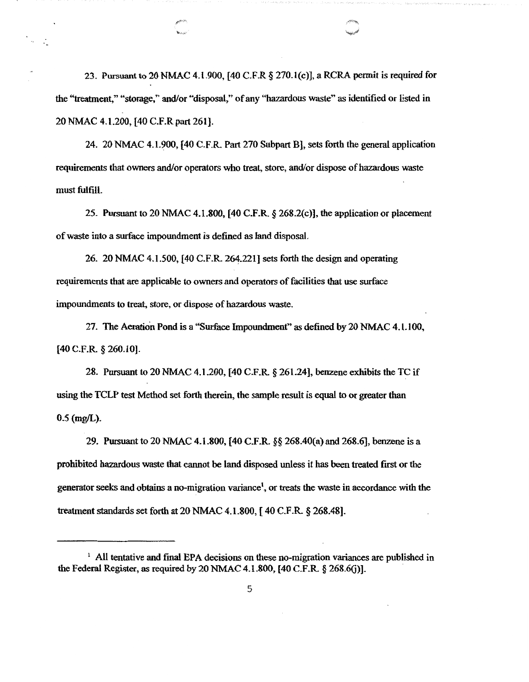23. Pursuant to 20 NMAC 4.1.900,  $[40 \text{ C.F.R } \S 270.1(c)]$ , a RCRA permit is required for the "treatment," "storage," and/or "disposal," of any "hazardous waste" as identified or listed in 20 NMAC 4.l.200, [40 C.F.R part 261].

24. 20 NMAC 4.l.900, [40 C.F.R. Part 270 Subpart BJ, sets forth the general application requirements that owners and/or operators who treat, store, and/or dispose of hazardous waste must fulfill.

25. Pursuant to 20 NMAC 4.1.800, [40 C.F.R. § 268.2(c)], the application or placement of waste into a surface impoundment is defined as land disposal.

26. 20 NMAC 4.1.500, [40 C.F.R. 264.221] sets forth the design and operating requirements that are applicable to owners and operators of facilities that use surface impoundments to treat, store, or dispose of hazardous waste.

27. The Aeration Pond is a "Surface Impoundment" as defined by 20 NMAC 4.1.100, [40 C.F.R. § 260.10].

28. Pursuant to 20 NMAC 4.1.200, [40 C.F.R. § 261.24], benzene exhibits the TC if using the TCLP test Method set forth therein, the sample result is equal to or greater than 0.5 (mg/L).

29. Pursuant to 20 NMAC 4.1.800, [40 C.F.R. §§ 268.40(a)and 268.6], benzene is a prohibited hazardous waste that cannot be land disposed unless it has been treated first or the generator seeks and obtains a no-migration variance', or treats the waste in accordance with the treatment standards set forth at 20 NMAC 4.1.800, [40 C.F.R. § 268.48].

 $1$  All tentative and final EPA decisions on these no-migration variances are published in the Federal Register, as required by 20 NMAC 4.1.800,  $[40 \text{ C.F.R.} \S 268.6(j)].$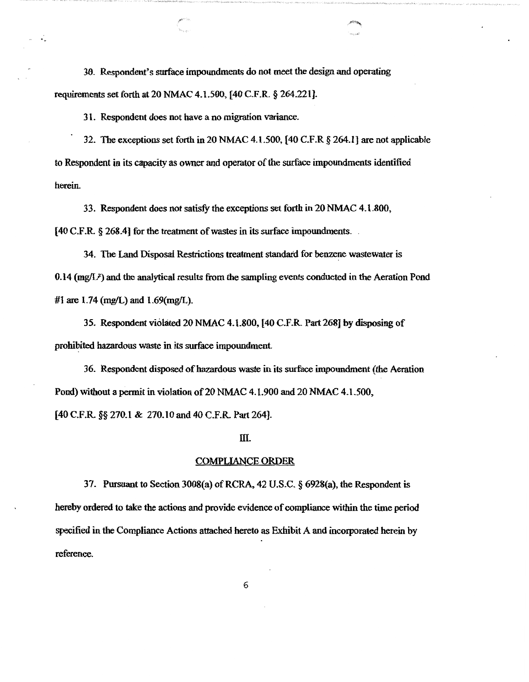30. Respondent's surface impoundments do not meet the design and operating requirements set forth at 20 NMAC 4.1.500, [40 C.F .R. § 264.221 ).

31. Respondent does not have a no migration variance.

32. The exceptions set forth in 20 NMAC 4.1.500,  $[40 \text{ C.F.R } \S 264.1]$  are not applicable to Respondent in its capacity as owner and operator of the surface impoundments identified herein.

33. Respondent does not satisfy the exceptions set forth in 20 NMAC 4.1.800, [40 C.F.R. § 268.4] for the treatment of wastes in its surface impoundments. .

34. The Land Disposal Restrictions treatment standard for benzene wastewater is  $0.14$  (mg/ $I$ ) and the analytical results from the sampling events conducted in the Aeration Pond #1 are 1.74 (mg/L) and l.69(mg/L).

35. Respondent violated 20 NMAC 4.1.800, (40 C.F.R. Part268] by disposing of prohibited hazardous waste in its surface impoundment.

36. Respondent disposed of hazardous waste in its surface impoundment (the Aeration Pond) without a permit in violation of 20 NMAC 4.1.900 and 20 NMAC 4.1.500, [40 C.F.R. §§ 270.1 & 270.10 and 40 C.F.R. Part 264].

#### Ill

#### COMPLIANCE ORDER

37. Pursuant to Section 3008(a) of RCRA, 42 U.S.C. § 6928(a), the Respondent is hereby ordered to take the actions and provide evidence of compliance within the time period specified in the Compliance Actions attached hereto as Exhibit A and incorporated herein by reference.

6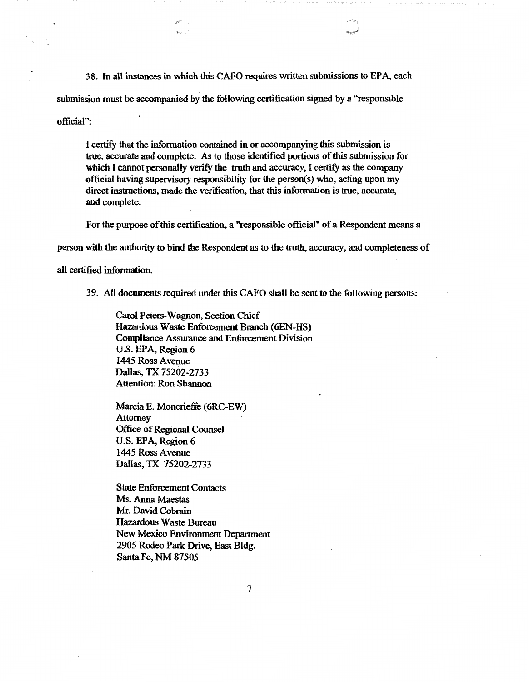38. In all instances in which this CAFO requires written submissions to EPA, each

submission must be accompanied by the following certification signed by a "responsible

official":

I certify that the information contained in or accompanying this submission is true, accurate and complete. *As* to those identified portions of this submission for which I cannot personally verify the truth and accuracy, I certify as the company official having supervisory responsibility for the person(s) who, acting upon my direct instructions, made the verification, that this information is true, accurate, and complete.

. For the purpose of this certification, a "responsible official" of a Respondent means a

person with the authority to bind the Respondent as to the truth, accuracy, and completeness of

all certified information.

39. All documents required under this CAFO shall be sent to the following persons:

Carol Peters-Wagnon, Section Chief Hazardous Waste Enforcement Branch (6EN-HS) Compliance Assurance and Enforcement Division U.S. EPA, Region 6 1445 Ross Avenue Dallas, TX 75202-2733 Attention: Ron Shannon

Marcia E. Moncrieffe (6RC-EW) Attorney Office of Regional Counsel U.S. EPA, Region 6 1445 Ross Avenue Dallas, TX 75202-2733

State Enforcement Contacts Ms. Anna Maestas Mr. David Cobrain Hazardous Waste Bureau New Mexico Environment Department 2905 Rodeo Park Drive, East Bldg. Santa Fe, NM 87505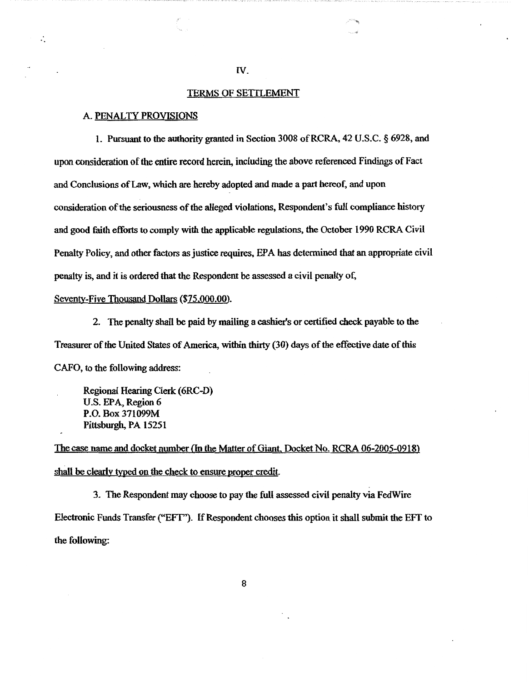#### lV.

#### TERMS OF SETTLEMENT

#### A. PENALTY PROVISIONS

 $\ddot{\cdot}$ 

l. Pursuant to the authority granted in Section 3008 ofRCRA, 42 U.S.C. § 6928, and upon consideration of the entire record herein, including the above referenced Findings of Fact and Conclusions of Law, which are hereby adopted and made a part hereof, and upon consideration of the seriousness of the alleged violations, Respondent's full compliance history and good faith efforts to comply with the applicable regulations, the October 1990 RCRA Civil Penalty Policy, and other factors as justice requires, EPA has determined that an appropriate civil penalty is, and it is ordered that the Respondent be assessed a civil penalty of,

#### Seventy-Five Thousand Dollars (\$75,000.00).

2. The penalty shall be paid by mailing a cashier's or certified check payable to the Treasurer of the United States of America, within thirty (30) days of the effective date of this CAFO, to the following address:

Regional Hearing Clerk (6RC-D) U.S. EPA, Region 6 **P.O.** Box 371099M Pittsburgh, PA 15251

The case name and docket number (In the Matter of Giant, Docket No. RCRA 06-2005-0918) shall be clearly typed on the check to ensure proper credit.

3. The Respondent may choose to pay the full assessed civil penalty via FedWire Electronic Funds Transfer ("EFT"). [f Respondent chooses this option it shall submit the EFf to the following:

8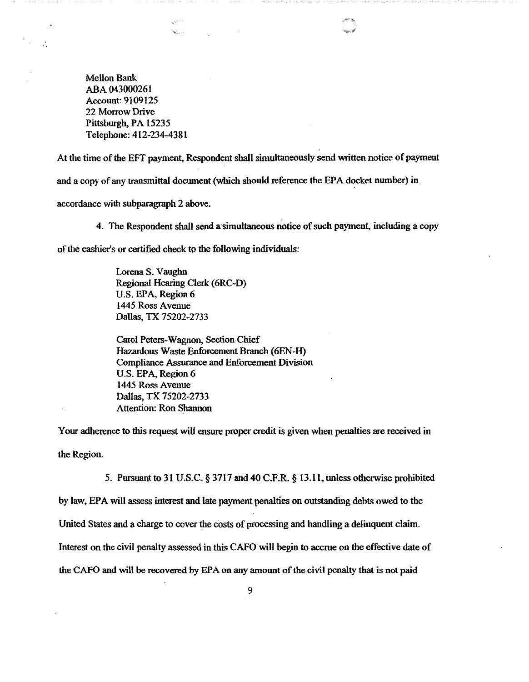Mellon Bank ABA 043000261 Account: 9109125 22 Morrow Drive Pittsburgh, PA 15235 Telephone: 412-234-4381

At the time of the EFT payment, Respondent shall simultaneously send written notice of payment

and a copy of any transmittal document (which should reference the EPA docket number) in

accordance with subparagraph 2 above.

4. The Respondent shall send a simultaneous notice of such payment, including a copy

of the cashier's or certified check to the following individuals:

Lorena S. Vaughn Regional Hearing Clerk (6RC-D) U.S. EPA, Region 6 1445 Ross Avenue Dallas, TX 75202-2733

Carol Peters-Wagnon, Section-Chief Hazardous Waste Enforcement Branch (6EN-H) Compliance Assurance and Enforcement Division U.S. EPA, Region 6 1445 Ross Avenue Dallas, TX 75202-2733 Attention: Ron Shannon

Your adherence to this request will ensure proper credit is given when penalties are received in

the Region.

5. Pursuant to 31 U.S.C. § 3717 and 40 C.F.R. § 13.11, unless otherwise prohibited by law, EPA will assess interest and late payment penalties on outstanding debts owed to the United States and a charge to cover the costs of processing and handling a delinquent claim. Interest on the civil penalty assessed in this CAFO will begin to accrue on the effective date of the CAFO and will be recovered by EPA on any amount of the civil penalty that is not paid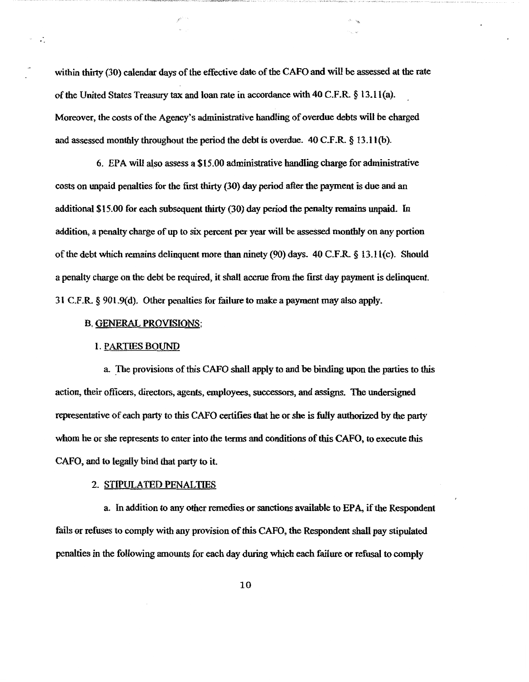within thirty (30) calendar days of the effective date of the CAFO and will be assessed at the rate of the United States Treasury tax and loan rate in accordance with 40 C.F.R. § 13.11 (a). Moreover, the costs of the Agency's administrative handling of overdue debts will be charged and assessed monthly throughout the period the debt is overdue.  $40 \text{ C.F.R.}$  § 13.11(b).

6. EPA will also assess a \$15.00 administrative handling charge for administrative costs on unpaid penalties for the first thirty (30) day period after the payment is due and an additional \$15.00 for each subsequent thirty (30) day period the penalty remains unpaid. In addition, a penalty charge of up to six percent per year will be assessed monthly on any portion of the debt which remains delinquent more than ninety (90) days. 40 C.F.R. § 13.1 l(c). Should a penalty charge on the debt be required, it shall accrue from the first day payment is delinquent. 31 C.F.R. § 901.9(d). Other penalties for failure to make a payment may also apply.

#### B. GENERAL PROVISIONS;

#### 1. PARTIES BOUND

 $\ddot{\cdot}$ 

a The provisions of this CAFO shall apply to and be binding upon the parties to this action, their officers, directors, agents, employees, successors, and assigns. The undersigned representative of each party to this CAFO certifies that he or she is fully authorized by the party whom he or she represents to enter into the terms and conditions of this CAFO, to execute this CAFO, and to legally bind that party to it.

#### 2. STIPULATED PENALTIES

a. In addition to any other remedies or sanctions available to EPA, if the Respondent fails or refuses to comply with any provision of this CAFO, the Respondent shall pay stipulated penalties in the following amounts for each day during which each failure or refusal to comply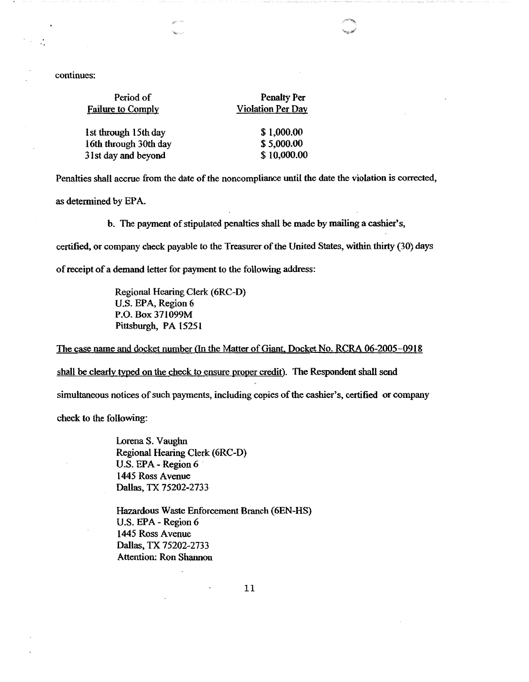continues:

| Period of                | <b>Penalty Per</b>       |
|--------------------------|--------------------------|
| <b>Failure to Comply</b> | <b>Violation Per Day</b> |
| 1st through 15th day     | \$1,000.00               |
| 16th through 30th day    | \$5,000.00               |
| 31st day and beyond      | \$10,000.00              |

Penalties shall accrue from the date of the noncompliance until the date the violation is corrected,

as determined by EPA.

b. The payment of stipulated penalties shall be made by mailing a cashier's,

certified, or company check payable to the Treasurer of the United States, within thirty (30) days

of receipt of a demand letter for payment to the following address:

Regional Hearing Clerk (6RC-D) U.S. EPA, Region 6 P.O. Box 371099M Pittsburgh, PA 15251

The case name and docket number (In the Matter of Giant, Docket No. RCRA 06-2005-0918

shall be clearly typed on the check to ensure proper credit). The Respondent shall send

simultaneous notices of such payments, including copies of the cashier's, certified or company

check to the following:

Lorena S. Vaughn Regional Hearing Clerk (6RC-D) U.S. EPA - Region 6 1445 Ross Avenue Dallas, TX 75202-2733

Hazardous Waste Enforcement Branch (6EN-HS) U.S. EPA- Region 6 1445 Ross Avenue Dallas, TX 75202-2733 Attention: Ron Shannon

 $\blacksquare$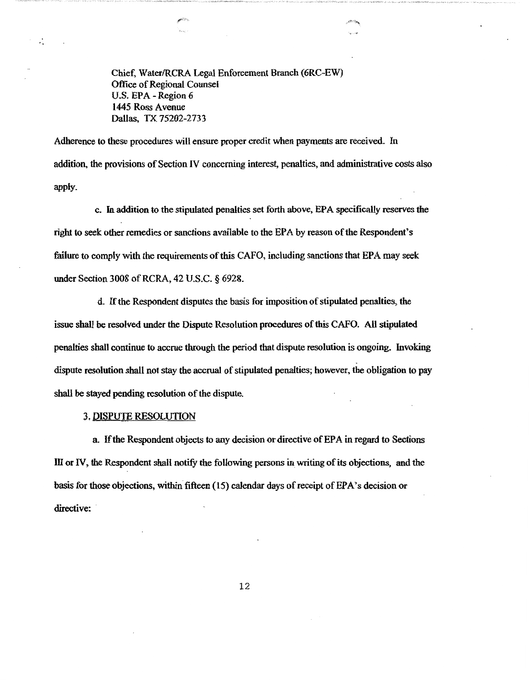Chief, Water/RCRA Legal Enforcement Branch (6RC-EW) Office of Regional Counsel U.S. EPA - Region 6 1445 Ross Avenue Dallas, TX 75202-2733

Adherence to these procedures will ensure proper credit when payments are received. In addition, the provisions of Section IV concerning interest, penalties, and administrative costs also apply.

c. fu addition to the stipulated penalties set forth above, EPA specifically reserves the right to seek other remedies or sanctions available to the EPA by reason of the Respondent's failure to comply with the requirements of this CAFO, including sanctions that EPA may seek under Section 3008 of RCRA, 42 U.S.C. § 6928.

d. If the Respondent disputes the basis for imposition of stipulated penalties, the issue shall be resolved under the Dispute Resolution procedures of this CAFO. All stipulated penalties shall continue to accrue through the period that dispute resolution is ongoing. Invoking . dispute resolution shall not stay the accrual of stipulated penalties; however, the obligation to pay shall be stayed pending resolution of the dispute.

#### 3. DISPUTE RESOLUTION

 $\cdot$ 

a. If the Respondent objects to any decision or directive of EPA in regard to Sections III or IV, the Respondent shall notify the following persons in writing ofits objections, and the basis for those objections, within fifteen (15) calendar days of receipt ofEPA's decision or directive: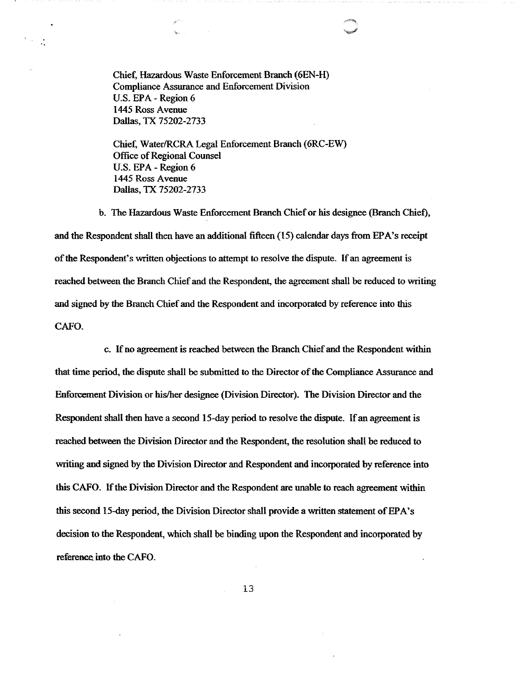Chief, Hazardous Waste Enforcement Branch (6EN-H) Compliance Assurance and Enforcement Division U.S. EPA - Region 6 1445 Ross Avenue Dallas, TX 75202-2733

 $\frac{1}{2}$  ,  $\frac{1}{2}$ 

Chief, Water/RCRA Legal Enforcement Branch (6RC-EW) Office of Regional Counsel U.S. EPA - Region 6 1445 Ross Avenue Dallas, TX 75202-2733

b. The Hazardous Waste Enforcement Branch Chief or his designee (Branch Chief), and the Respondent shall then have an additional fifteen ( 15) calendar days from EPA 's receipt of the Respondent's written objections to attempt to resolve the dispute. If an agreement is reached between the Branch Chief and the. Respondent, the agreement shall be reduced to writing and signed by the Branch Chief and the Respondent and incorporated by reference into this CAFO.

c. If no agreement is reached between the Branch Chief and the Respondent within that time period, the dispute shall be submitted to the Director of the Compliance Assurance and Enforcement Division or his/her designee (Division Director). The Division Director and the Respondent shall then have a second 15-day period to resolve the dispute. If an agreement is reached between the Division Director and the Respondent, the resolution shall be reduced to writing and signed by the Division Director and Respondent and incorporated by reference into this CAFO. If the Division Director and the Respondent are unable to reach agreement within this second 15-day period, the Division Director shall provide a written statement of EPA's decision to the Respondent, which shall be binding upon the Respondent and incorporated by reference into the CAFO.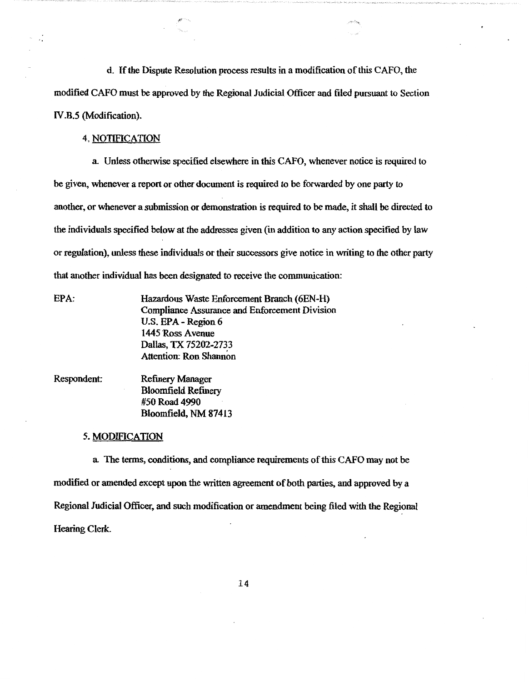d. If the Dispute Resolution process results in a modification of this CAFO, the modified CAFO must be approved by the Regional Judicial Officer and filed pursuant to Section IV .B.5 (Modification).

#### 4, NOTIFICATION

 $\ddot{\cdot}$ 

a Unless otherwise specified elsewhere in this CAFO, whenever notice is required to be given, whenever a report or other docwnent is required to be forwarded by one party to another, or whenever a submission or demonstration is required to be made, it shall be directed to the individuals specified below at the addresses given (in addition to any action specified by law or regulation), unless these individuals or their successors give notice in writing to the other party that another individual has been designated to receive the communication:

EPA: Hazardous Waste Enforcement Branch (6EN-H) Compliance Assurance and Enforcement Division U.S. EPA- Region 6 1445 Ross Avenue Dallas, TX 75202-2733 Attention: Ron Shannon

Respondent: Refinery Manager Bloomfield Refinery #50 Road 4990 Bloomfield, NM 87413

# 5. MODIFICATION

a. The terms, conditions, and compliance requirements of this CAFO may not be modified or amended except upon the written agreement of both parties, and approved by a Regional Judicial Officer, and such modification or amendment being filed with the Regional Hearing Clerk.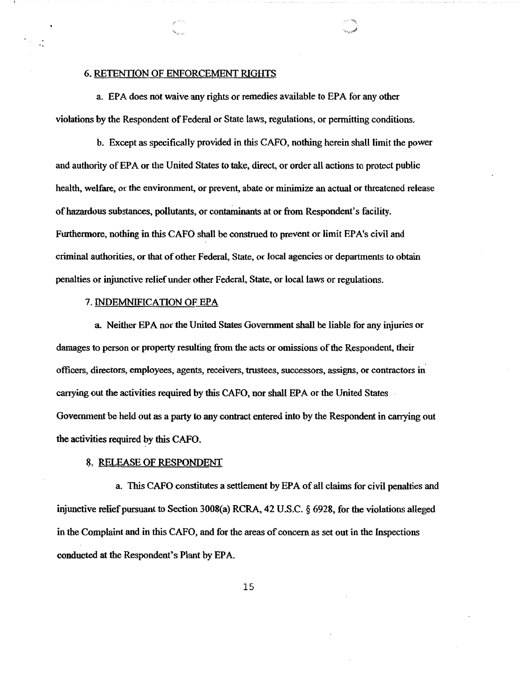#### 6. RETENTION OF ENFORCEMENT RIGHTS

 $\epsilon_{\rm{in}}$ 

a. EPA does not waive any rights or remedies available to EPA for any other violations by the Respondent of Federal or State laws, regulations, or permitting conditions.

b. Except as specifically provided in this CAFO, nothing herein shall limit the power and authority of EPA or the United States to take, direct, or order all actions to protect public health, welfare, or the environment, or prevent, abate or minimize an actual or threatened release of hazardous substances, pollutants, or contaminants at or from Respondent's facility. Furthermore, nothing in this CAFO shall be construed to prevent or limit EPA's civil and criminal authorities, or that of other Federal, State, or local agencies or departments to obtain penalties or injunctive relief under other Federal, State, or local laws or regulations.

#### 7. INDEMNIFICATION OF EPA

a Neither EPA nor the United States Government shall be liable for any injuries or damages to person or property resulting from the acts or omissions of the Respondent, their officers, directors, employees, agents, receivers, trustees, successors, assigns, or contractors in carrying out the activities required by this CAFO, nor shall EPA or the United States Government be held out as a party to any contract entered into by the Respondent in carrying out the activities required by this CAFO.

#### a. RELEASE OF RESPONDENT

a. This CAFO constitutes a settlement by EPA of all claims for civil penalties and injunctive relief pursuant to Section 3008(a) RCRA, 42 U.S.C. § 6928, for the violations alleged in the Complaint and in this CAFO, and for the areas of concern as set out in the Inspections conducted at the Respondent's Plant by EPA.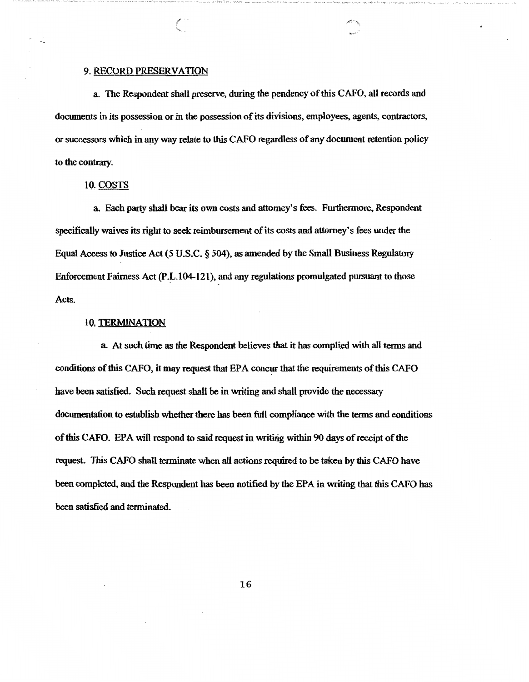#### 9. RECORD PRESERVATION

a. The Respondent shall preserve, during the pendency of this CAFO, all records and documents in its possession or in the possession of its divisions, employees, agents, contractors, or successors which in any way relate to this CAFO regardless of any document retention policy to the contrary.

#### 10, COSTS

a. Each party shall bear its own costs and attorney's fees. Furthermore, Respondent specifically waives its right to seek reimbursement of its costs and attorney's fees under the Equal Access to Justice Act (5 U.S.C. § 504), as amended by the Small Business Regulatory Enforcement Fairness Act (P.L.104-121), and any regulations promulgated pursuant to those Acts.

#### 1(), **TERMINATION**

a At such time as the Respondent believes that it has complied with all terms and conditions of this CAFO, it may request that EPA concur that the requirements of this CAFO have been satisfied. Such request shall be in writing and shall provide the necessary documentation to establish whether there has been full compliance with the terms and conditions of this CAFO. EPA will respond to said request in writing within 90 days of receipt of the request. This CAFO shall terminate when all actions required to be taken by this CAFO have been completed, and the Respondent has been notified by the EPA in writing that this CAFO has been satisfied and terminated.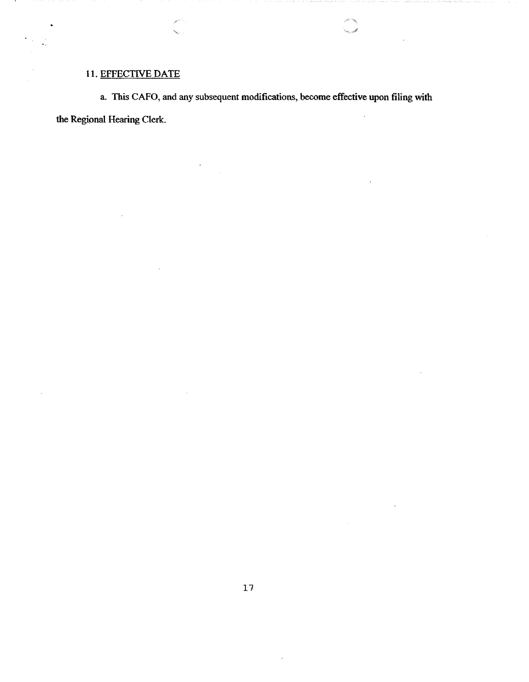# 11. EFFECTIVE DATE

- 1

 $\overline{\phantom{a}}$ 

a. This CAFO, and any subsequent modifications, become effective upon filing with  $\ddot{\phantom{a}}$ the Regional Hearing Clerk.

 $\ddot{\phantom{a}}$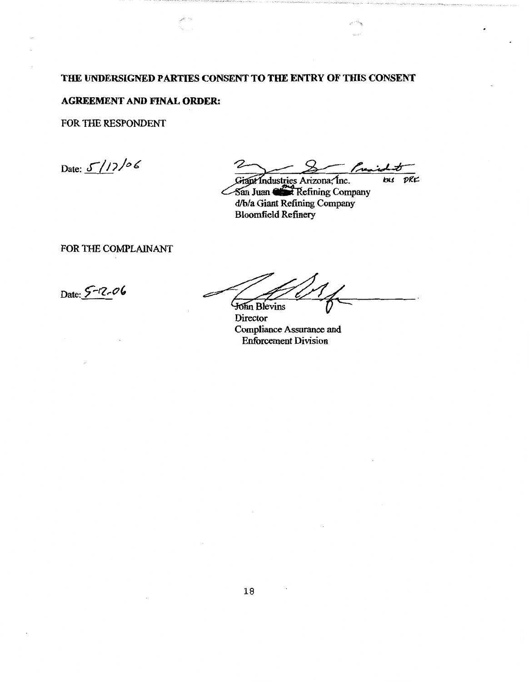# THE UNDERSIGNED PARTIES CONSENT TO THE ENTRY OF THIS CONSENT

#### **AGREEMENT AND FINAL ORDER:**

FOR THE RESPONDENT

Date: 5/17/06

tns DRK

Giant Industries Arizona, Inc. San Juan & Refining Company d/b/a Giant Refining Company **Bloomfield Refinery** 

FOR THE COMPLAINANT

Date: 5-12-06

*Folm Blevins* 

Director **Compliance Assurance and Enforcement Division**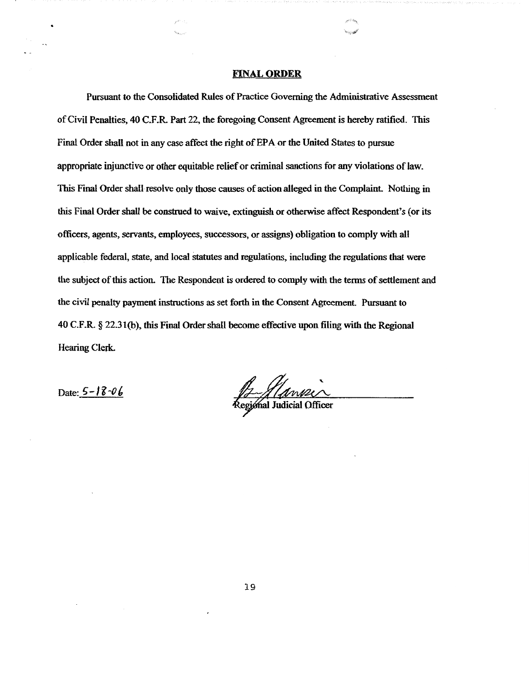#### **FINAL ORDER**

Pursuant to the Consolidated Rules of Practice Governing the Administrative Assessment of Civil Penalties, 40 C.F.R. Part 22, the foregoing Consent Agreement is hereby ratified. This Final Order shall not in any case affect the right of EPA or the United States to pursue appropriate injunctive or other equitable relief or criminal sanctions for any violations of law. This Final Order shall resolve only those causes of action alleged in the Complaint. Nothing in this Final Order shall be construed to waive, extinguish or otherwise affect Respondent's ( or its officers, agents, servants, employees, successors, or assigns) obligation to comply with all applicable federal, state, and local statutes and regulations, including the regulations that were the subject of this action. The Respondent is ordered to comply with the terms of settlement and the civil penalty payment instructions as set forth in the Consent Agreement. Pursuant to 40 C.F.R. § 22.3 l(b), this Final Order shall become effective upon filing with the Regional Hearing Clerk.

Date:  $5 - 18 - 06$ 

Alannes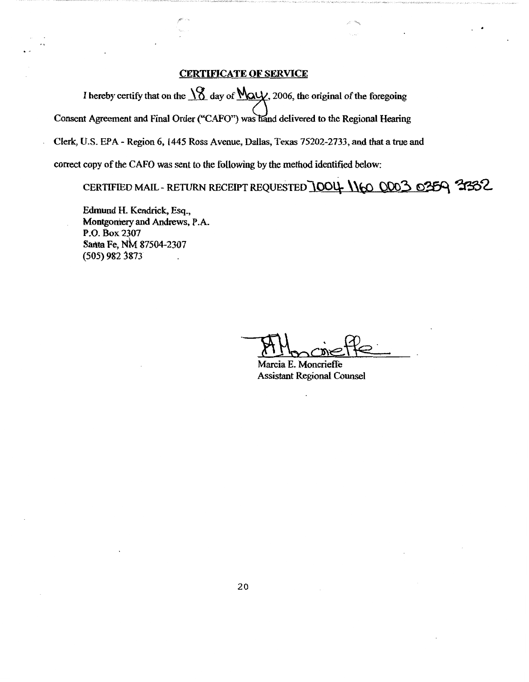# CERTIFICATE OF SERVICE

I hereby certify that on the  $\frac{18}{6}$  day of  $\frac{16}{4}$ , 2006, the original of the foregoing Consent Agreement and Final Order ("CAFO") was hand delivered to the Regional Hearing

Clerk, U.S. EPA- Region 6, 1445 Ross Avenue, Dallas, Texas 75202-2733, and that a true and

correct copy of the CAFO was sent to the following by the method identified below;

CERTIFIED MAIL - RETURN RECEIPT REQUESTED **1004 1160 0003 0259 27332** 

Edmund H. Kendrick, Esq., Montgomery and Andrews, P.A. P.O. Box 2307 Santa Fe, NM 87504-2307 (505) 982 3873

Marcia E. Moncrieffe Assistant Regional Counsel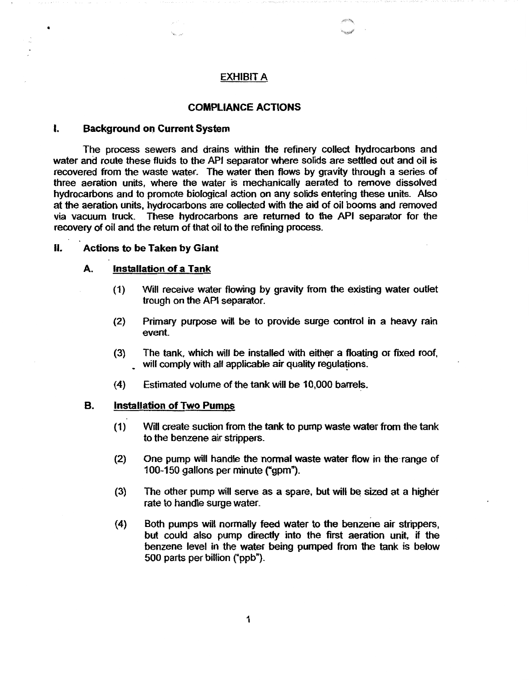### EXHIBIT A

#### **COMPLIANCE ACTIONS**

#### **I.** Background on Current System

**4** 

The process sewers and drains within the refinery collect hydrocarbons and water and route these fluids to the API separator where solids are settled out and oil is recovered from the waste water. The water then flows by gravity through a series of three aeration units, where the water is mechanically aerated to remove dissolved hydrocarbons and to promote biological action on any solids entering these units. Also at the aeration units, hydrocarbons are collected with the aid of oil booms and removed via vacuum truck. These hydrocarbons are returned to the API separator for the recovery of oil and the return of that oil to the refining process.

#### II. **Actions to be Taken by Giant**

#### **A. Installation of a Tank**

- ( 1) Will receive water flowing by gravity from the existing water outlet trough on the API separator.
- (2) Primary purpose will be to provide surge control in a heavy rain event.
- $(3)$  The tank, which will be installed with either a floating or fixed roof, will comply with all applicable air quality regulations.
- (4) Estimated volume of the tank will be 10,000 barrels.

#### **B. Installation of Two Pumps**

- ( 1) Will create suction from the tank to pump waste water from the tank to the benzene air strippers.
- (2) One pump will handle the normal waste water flow in the range of 100-150 gallons per minute ("gpm").
- $(3)$  The other pump will serve as a spare, but will be sized at a higher rate to handle surge water.
- (4) Both pumps will normally feed water to the benzene air strippers, but could also pump directly into the first aeration unit, if the benzene level in the water being pumped from the tank is below 500 parts per billion {"ppb").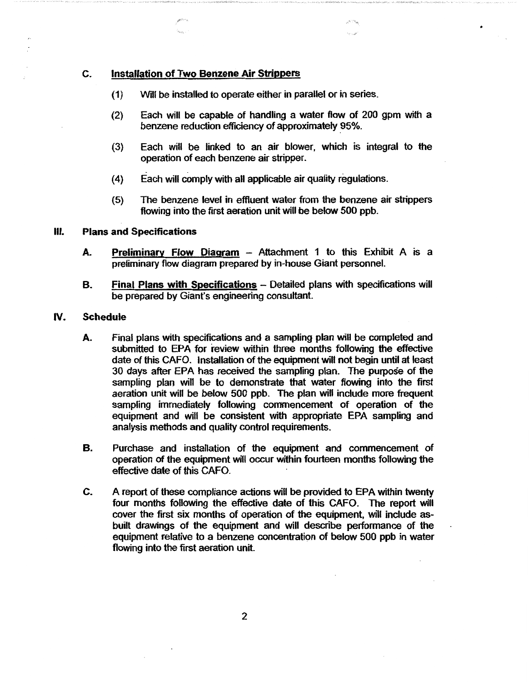#### **C. Installation of Two Benzene Air Strippers**

- (1) Will be installed to operate either in parallel or in series.
- (2) Each will be capable of handling a water flow of 200 gpm with a benzene reduction efficiency of approximately 95%.
- (3) Each will be linked to an air blower, which is integral to the operation of each benzene air stripper.
- (4) Each will comply with all applicable air quality regulations.
- (5) The benzene level in effluent water from the benzene air strippers flowing into the first aeration unit will be below 500 ppb.

#### Ill. **Plans and Specifications**

- **A. Preliminary Flow Diagram**  Attachment 1 to this Exhibit A is a preliminary flow diagram prepared by in-house Giant personnel.
- B. Final **Plans with Specifications**  Detailed plans with specifications will be prepared by Giant's engineering consultant.

#### **IV. Schedule**

- **A.** Final plans with specifications and a sampling plan will be completed and submitted to EPA for review within three months following the effective date of this CAFO. Installation of the equipment wilt not begin until at least 30 days after EPA has received the sampling plan. The purpose of the sampling plan will be to demonstrate that water flowing into the first aeration unit will be below 500 ppb. The plan will include more frequent sampling immediately following commencement of operation of the equipment and will be consistent with appropriate EPA sampling and analysis methods and quality control requirements.
- **B.** Purchase and installation of the equipment and commencement of operation of the equipment will occur within fourteen months following the effective date of this CAFO.
- C. A report of these compliance actions will be provided to EPA within twenty four months following the effective date of this CAFO. The report will cover the first six months of operation of the equipment, will include asbuilt drawings of the equipment and will descnbe performance of the equipment relative to a benzene concentration of below 500 ppb in water flowing into the first aeration unit.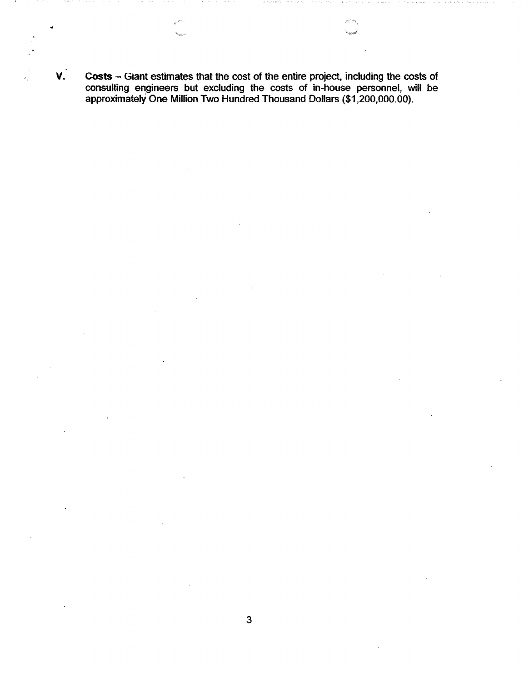**V.** Costs – Giant estimates that the cost of the entire project, including the costs of consulting engineers but excluding the costs of in-house personnel, will be approximately One Million Two Hundred Thousand Dollars (\$1,200,000.00).

 $\bar{1}$ 

 $\frac{1}{\sqrt{2}}$  $\mathbb{R}^{\frac{1}{2}}$ 

 $\epsilon_{\rm g}$ 

.<br>Walio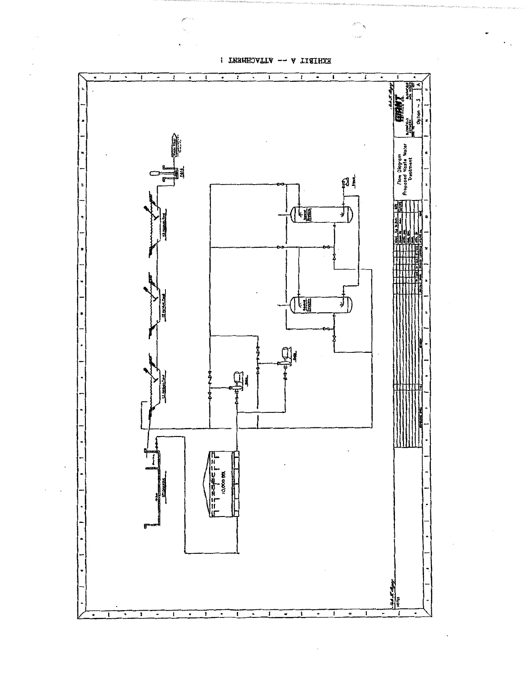

 $\overline{\phantom{a}}$ 

STHIBIL W -- A TIRIHXE

 $\mathcal{L}$ 

 $\ddot{\phantom{a}}$ 

 $\mathcal{P}_{\mathcal{A}}$ 

 $\ddot{\phantom{0}}$